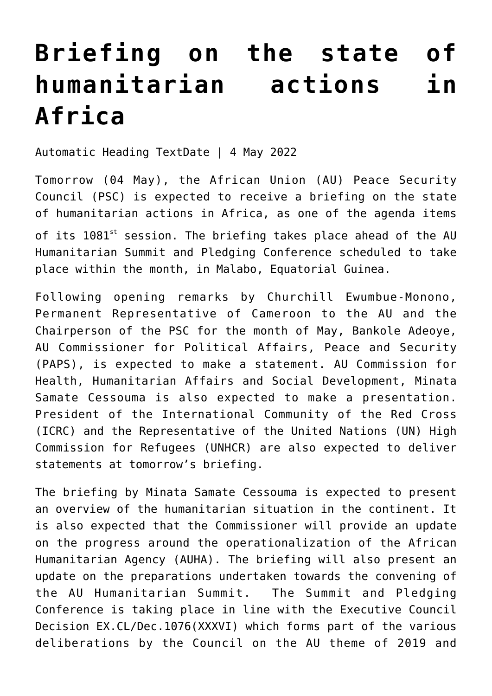## **[Briefing on the state of](https://amaniafrica-et.org/briefing-on-the-state-of-humanitarian-actions-in-africa/) [humanitarian actions in](https://amaniafrica-et.org/briefing-on-the-state-of-humanitarian-actions-in-africa/) [Africa](https://amaniafrica-et.org/briefing-on-the-state-of-humanitarian-actions-in-africa/)**

Automatic Heading TextDate | 4 May 2022

Tomorrow (04 May), the African Union (AU) Peace Security Council (PSC) is expected to receive a briefing on the state of humanitarian actions in Africa, as one of the agenda items

of its 1081<sup>st</sup> session. The briefing takes place ahead of the AU Humanitarian Summit and Pledging Conference scheduled to take place within the month, in Malabo, Equatorial Guinea.

Following opening remarks by Churchill Ewumbue-Monono, Permanent Representative of Cameroon to the AU and the Chairperson of the PSC for the month of May, Bankole Adeoye, AU Commissioner for Political Affairs, Peace and Security (PAPS), is expected to make a statement. AU Commission for Health, Humanitarian Affairs and Social Development, Minata Samate Cessouma is also expected to make a presentation. President of the International Community of the Red Cross (ICRC) and the Representative of the United Nations (UN) High Commission for Refugees (UNHCR) are also expected to deliver statements at tomorrow's briefing.

The briefing by Minata Samate Cessouma is expected to present an overview of the humanitarian situation in the continent. It is also expected that the Commissioner will provide an update on the progress around the operationalization of the African Humanitarian Agency (AUHA). The briefing will also present an update on the preparations undertaken towards the convening of the AU Humanitarian Summit. The Summit and Pledging Conference is taking place in line with the Executive Council Decision EX.CL/Dec.1076(XXXVI) which forms part of the various deliberations by the Council on the AU theme of 2019 and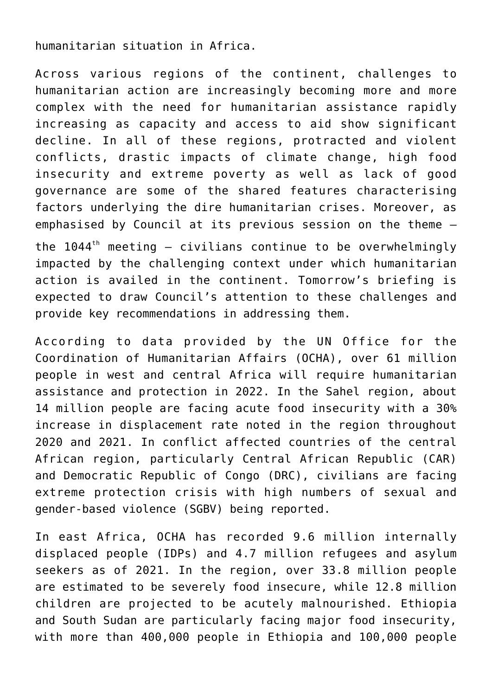humanitarian situation in Africa.

Across various regions of the continent, challenges to humanitarian action are increasingly becoming more and more complex with the need for humanitarian assistance rapidly increasing as capacity and access to aid show significant decline. In all of these regions, protracted and violent conflicts, drastic impacts of climate change, high food insecurity and extreme poverty as well as lack of good governance are some of the shared features characterising factors underlying the dire humanitarian crises. Moreover, as emphasised by Council at its previous session on the theme – the  $1044<sup>th</sup>$  meeting – civilians continue to be overwhelmingly impacted by the challenging context under which humanitarian action is availed in the continent. Tomorrow's briefing is expected to draw Council's attention to these challenges and

According to data provided by the UN Office for the Coordination of Humanitarian Affairs (OCHA), over 61 million people in west and central Africa will require humanitarian assistance and protection in 2022. In the Sahel region, about 14 million people are facing acute food insecurity with a 30% increase in displacement rate noted in the region throughout 2020 and 2021. In conflict affected countries of the central African region, particularly Central African Republic (CAR) and Democratic Republic of Congo (DRC), civilians are facing extreme protection crisis with high numbers of sexual and gender-based violence (SGBV) being reported.

provide key recommendations in addressing them.

In east Africa, OCHA has recorded 9.6 million internally displaced people (IDPs) and 4.7 million refugees and asylum seekers as of 2021. In the region, over 33.8 million people are estimated to be severely food insecure, while 12.8 million children are projected to be acutely malnourished. Ethiopia and South Sudan are particularly facing major food insecurity, with more than 400,000 people in Ethiopia and 100,000 people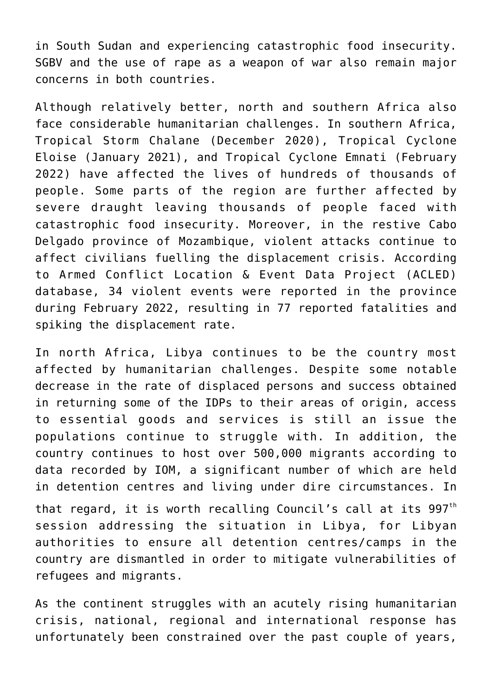in South Sudan and experiencing catastrophic food insecurity. SGBV and the use of rape as a weapon of war also remain major concerns in both countries.

Although relatively better, north and southern Africa also face considerable humanitarian challenges. In southern Africa, Tropical Storm Chalane (December 2020), Tropical Cyclone Eloise (January 2021), and Tropical Cyclone Emnati (February 2022) have affected the lives of hundreds of thousands of people. Some parts of the region are further affected by severe draught leaving thousands of people faced with catastrophic food insecurity. Moreover, in the restive Cabo Delgado province of Mozambique, violent attacks continue to affect civilians fuelling the displacement crisis. According to Armed Conflict Location & Event Data Project (ACLED) database, 34 violent events were reported in the province during February 2022, resulting in 77 reported fatalities and spiking the displacement rate.

In north Africa, Libya continues to be the country most affected by humanitarian challenges. Despite some notable decrease in the rate of displaced persons and success obtained in returning some of the IDPs to their areas of origin, access to essential goods and services is still an issue the populations continue to struggle with. In addition, the country continues to host over 500,000 migrants according to data recorded by IOM, a significant number of which are held in detention centres and living under dire circumstances. In that regard, it is worth recalling Council's call at its  $997<sup>th</sup>$ session addressing the situation in Libya, for Libyan authorities to ensure all detention centres/camps in the country are dismantled in order to mitigate vulnerabilities of refugees and migrants.

As the continent struggles with an acutely rising humanitarian crisis, national, regional and international response has unfortunately been constrained over the past couple of years,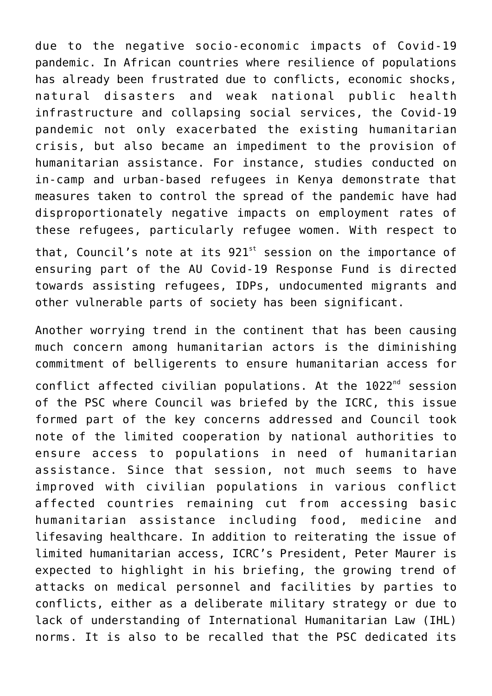due to the negative socio-economic impacts of Covid-19 pandemic. In African countries where resilience of populations has already been frustrated due to conflicts, economic shocks, natural disasters and weak national public health infrastructure and collapsing social services, the Covid-19 pandemic not only exacerbated the existing humanitarian crisis, but also became an impediment to the provision of humanitarian assistance. For instance, studies conducted on in-camp and urban-based refugees in Kenya demonstrate that measures taken to control the spread of the pandemic have had disproportionately negative impacts on employment rates of these refugees, particularly refugee women. With respect to that, Council's note at its  $921<sup>st</sup>$  session on the importance of ensuring part of the AU Covid-19 Response Fund is directed towards assisting refugees, IDPs, undocumented migrants and other vulnerable parts of society has been significant.

Another worrying trend in the continent that has been causing much concern among humanitarian actors is the diminishing commitment of belligerents to ensure humanitarian access for conflict affected civilian populations. At the 1022<sup>nd</sup> session of the PSC where Council was briefed by the ICRC, this issue formed part of the key concerns addressed and Council took note of the limited cooperation by national authorities to ensure access to populations in need of humanitarian assistance. Since that session, not much seems to have improved with civilian populations in various conflict affected countries remaining cut from accessing basic humanitarian assistance including food, medicine and lifesaving healthcare. In addition to reiterating the issue of limited humanitarian access, ICRC's President, Peter Maurer is expected to highlight in his briefing, the growing trend of attacks on medical personnel and facilities by parties to conflicts, either as a deliberate military strategy or due to lack of understanding of International Humanitarian Law (IHL) norms. It is also to be recalled that the PSC dedicated its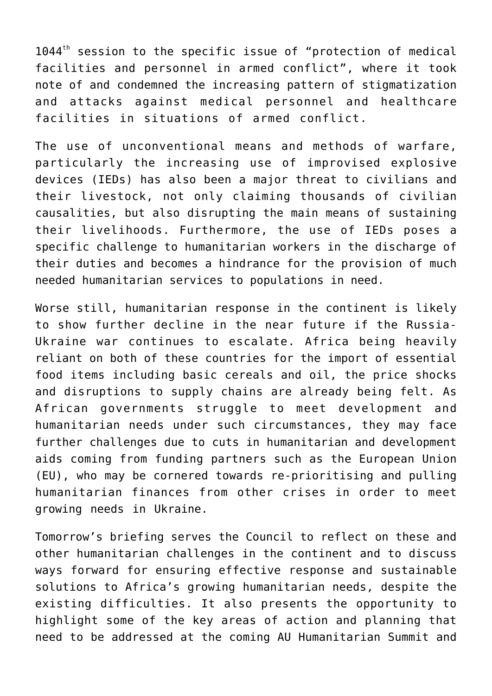$1044<sup>th</sup>$  session to the specific issue of "protection of medical facilities and personnel in armed conflict", where it took note of and condemned the increasing pattern of stigmatization and attacks against medical personnel and healthcare facilities in situations of armed conflict.

The use of unconventional means and methods of warfare, particularly the increasing use of improvised explosive devices (IEDs) has also been a major threat to civilians and their livestock, not only claiming thousands of civilian causalities, but also disrupting the main means of sustaining their livelihoods. Furthermore, the use of IEDs poses a specific challenge to humanitarian workers in the discharge of their duties and becomes a hindrance for the provision of much needed humanitarian services to populations in need.

Worse still, humanitarian response in the continent is likely to show further decline in the near future if the Russia-Ukraine war continues to escalate. Africa being heavily reliant on both of these countries for the import of essential food items including basic cereals and oil, the price shocks and disruptions to supply chains are already being felt. As African governments struggle to meet development and humanitarian needs under such circumstances, they may face further challenges due to cuts in humanitarian and development aids coming from funding partners such as the European Union (EU), who may be cornered towards re-prioritising and pulling humanitarian finances from other crises in order to meet growing needs in Ukraine.

Tomorrow's briefing serves the Council to reflect on these and other humanitarian challenges in the continent and to discuss ways forward for ensuring effective response and sustainable solutions to Africa's growing humanitarian needs, despite the existing difficulties. It also presents the opportunity to highlight some of the key areas of action and planning that need to be addressed at the coming AU Humanitarian Summit and